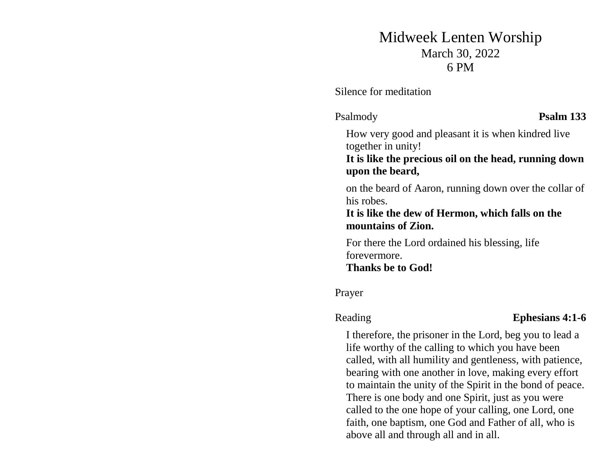# Midweek Lenten Worship March 30, 2022 6 PM

Silence for meditation

Psalmody **Psalm 133**

How very good and pleasant it is when kindred live together in unity!

**It is like the precious oil on the head, running down upon the beard,** 

on the beard of Aaron, running down over the collar of his robes.

### **It is like the dew of Hermon, which falls on the mountains of Zion.**

For there the Lord ordained his blessing, life forevermore. **Thanks be to God!**

Prayer

### Reading **Ephesians 4:1-6**

I therefore, the prisoner in the Lord, beg you to lead a life worthy of the calling to which you have been called, with all humility and gentleness, with patience, bearing with one another in love, making every effort to maintain the unity of the Spirit in the bond of peace. There is one body and one Spirit, just as you were called to the one hope of your calling, one Lord, one faith, one baptism, one God and Father of all, who is above all and through all and in all.